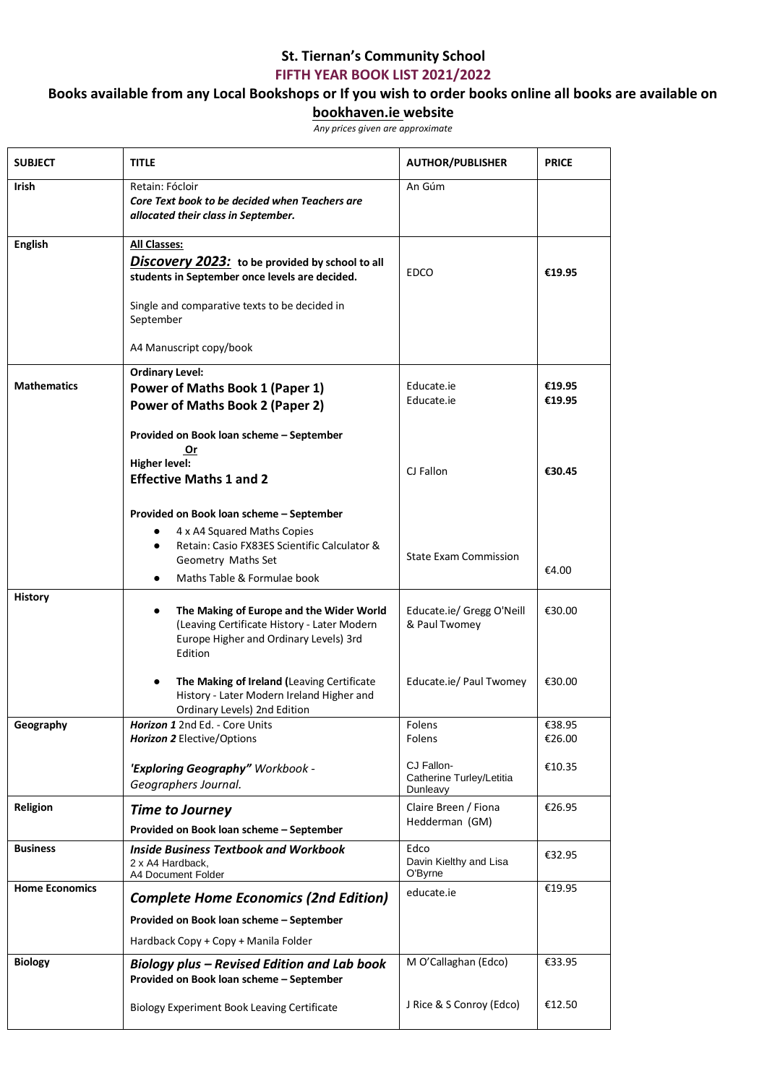## **St. Tiernan's Community School**

**FIFTH YEAR BOOK LIST 2021/2022**

## **Books available from any Local Bookshops or If you wish to order books online all books are available on**

## **bookhaven.ie website**

*Any prices given are approximate*

| <b>SUBJECT</b>        | <b>TITLE</b>                                                                                                                                                                 | <b>AUTHOR/PUBLISHER</b>                            | <b>PRICE</b>     |
|-----------------------|------------------------------------------------------------------------------------------------------------------------------------------------------------------------------|----------------------------------------------------|------------------|
| Irish                 | Retain: Fócloir<br>Core Text book to be decided when Teachers are<br>allocated their class in September.                                                                     | An Gúm                                             |                  |
| <b>English</b>        | <b>All Classes:</b><br>Discovery 2023: to be provided by school to all<br>students in September once levels are decided.                                                     | <b>EDCO</b>                                        | €19.95           |
|                       | Single and comparative texts to be decided in<br>September                                                                                                                   |                                                    |                  |
|                       | A4 Manuscript copy/book                                                                                                                                                      |                                                    |                  |
| <b>Mathematics</b>    | <b>Ordinary Level:</b><br><b>Power of Maths Book 1 (Paper 1)</b><br><b>Power of Maths Book 2 (Paper 2)</b>                                                                   | Educate.ie<br>Educate.ie                           | €19.95<br>€19.95 |
|                       | Provided on Book loan scheme - September<br>Or<br><b>Higher level:</b><br><b>Effective Maths 1 and 2</b>                                                                     | CJ Fallon                                          | €30.45           |
|                       | Provided on Book loan scheme - September<br>4 x A4 Squared Maths Copies<br>Retain: Casio FX83ES Scientific Calculator &<br>Geometry Maths Set<br>Maths Table & Formulae book | <b>State Exam Commission</b>                       | €4.00            |
| <b>History</b>        | The Making of Europe and the Wider World<br>٠<br>(Leaving Certificate History - Later Modern<br>Europe Higher and Ordinary Levels) 3rd<br>Edition                            | Educate.ie/ Gregg O'Neill<br>& Paul Twomey         | €30.00           |
|                       | The Making of Ireland (Leaving Certificate<br>$\bullet$<br>History - Later Modern Ireland Higher and<br>Ordinary Levels) 2nd Edition                                         | Educate.ie/ Paul Twomey                            | €30.00           |
| Geography             | <b>Horizon 1</b> 2nd Ed. - Core Units<br><b>Horizon 2</b> Elective/Options                                                                                                   | Folens<br>Folens                                   | €38.95<br>€26.00 |
|                       | 'Exploring Geography" Workbook -<br>Geographers Journal.                                                                                                                     | CJ Fallon-<br>Catherine Turley/Letitia<br>Dunleavy | €10.35           |
| Religion              | <b>Time to Journey</b><br>Provided on Book loan scheme - September                                                                                                           | Claire Breen / Fiona<br>Hedderman (GM)             | €26.95           |
| <b>Business</b>       | <b>Inside Business Textbook and Workbook</b><br>2 x A4 Hardback,<br>A4 Document Folder                                                                                       | Edco<br>Davin Kielthy and Lisa<br>O'Byrne          | €32.95           |
| <b>Home Economics</b> | <b>Complete Home Economics (2nd Edition)</b>                                                                                                                                 | educate.ie                                         | €19.95           |
|                       | Provided on Book loan scheme - September<br>Hardback Copy + Copy + Manila Folder                                                                                             |                                                    |                  |
| <b>Biology</b>        | Biology plus – Revised Edition and Lab book<br>Provided on Book loan scheme - September                                                                                      | M O'Callaghan (Edco)                               | €33.95           |
|                       | <b>Biology Experiment Book Leaving Certificate</b>                                                                                                                           | J Rice & S Conroy (Edco)                           | €12.50           |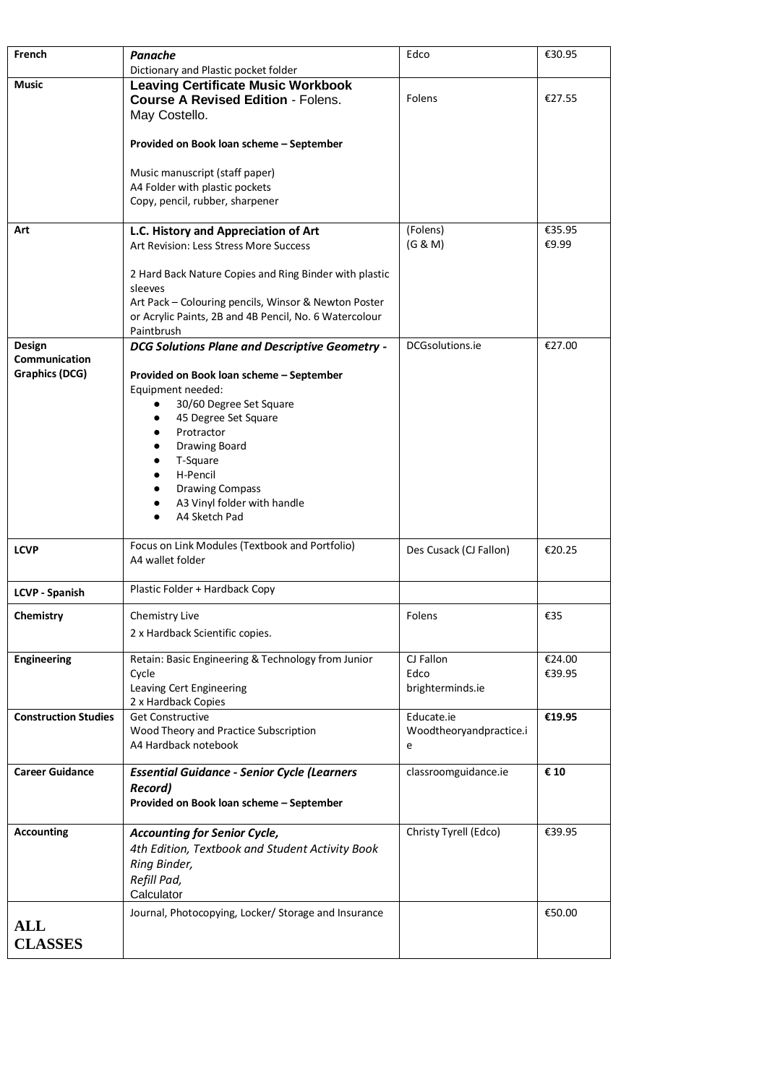| French                       | Panache                                                                                                                                                                                           | Edco                                  | €30.95           |
|------------------------------|---------------------------------------------------------------------------------------------------------------------------------------------------------------------------------------------------|---------------------------------------|------------------|
|                              | Dictionary and Plastic pocket folder                                                                                                                                                              |                                       |                  |
| Music                        | <b>Leaving Certificate Music Workbook</b><br><b>Course A Revised Edition - Folens.</b><br>May Costello.                                                                                           | Folens                                | €27.55           |
|                              | Provided on Book loan scheme - September                                                                                                                                                          |                                       |                  |
|                              | Music manuscript (staff paper)<br>A4 Folder with plastic pockets<br>Copy, pencil, rubber, sharpener                                                                                               |                                       |                  |
| Art                          | L.C. History and Appreciation of Art                                                                                                                                                              | (Folens)                              | €35.95           |
|                              | Art Revision: Less Stress More Success                                                                                                                                                            | (G & M)                               | €9.99            |
|                              | 2 Hard Back Nature Copies and Ring Binder with plastic<br>sleeves<br>Art Pack - Colouring pencils, Winsor & Newton Poster<br>or Acrylic Paints, 2B and 4B Pencil, No. 6 Watercolour<br>Paintbrush |                                       |                  |
| Design                       | <b>DCG Solutions Plane and Descriptive Geometry -</b>                                                                                                                                             | DCGsolutions.ie                       | €27.00           |
| Communication                |                                                                                                                                                                                                   |                                       |                  |
| Graphics (DCG)               | Provided on Book loan scheme - September<br>Equipment needed:<br>30/60 Degree Set Square<br>45 Degree Set Square                                                                                  |                                       |                  |
|                              | Protractor<br>Drawing Board<br>T-Square<br>H-Pencil<br><b>Drawing Compass</b><br>A3 Vinyl folder with handle<br>A4 Sketch Pad                                                                     |                                       |                  |
| <b>LCVP</b>                  | Focus on Link Modules (Textbook and Portfolio)<br>A4 wallet folder                                                                                                                                | Des Cusack (CJ Fallon)                | €20.25           |
| <b>LCVP - Spanish</b>        | Plastic Folder + Hardback Copy                                                                                                                                                                    |                                       |                  |
| Chemistry                    | Chemistry Live                                                                                                                                                                                    | Folens                                | €35              |
|                              | 2 x Hardback Scientific copies.                                                                                                                                                                   |                                       |                  |
| Engineering                  | Retain: Basic Engineering & Technology from Junior<br>Cycle<br>Leaving Cert Engineering<br>2 x Hardback Copies                                                                                    | CJ Fallon<br>Edco<br>brighterminds.ie | €24.00<br>€39.95 |
| <b>Construction Studies</b>  | <b>Get Constructive</b>                                                                                                                                                                           | Educate.ie                            | €19.95           |
|                              | Wood Theory and Practice Subscription<br>A4 Hardback notebook                                                                                                                                     | Woodtheoryandpractice.i<br>e          |                  |
| <b>Career Guidance</b>       | <b>Essential Guidance - Senior Cycle (Learners</b><br><b>Record)</b><br>Provided on Book loan scheme - September                                                                                  | classroomguidance.ie                  | € 10             |
| <b>Accounting</b>            | <b>Accounting for Senior Cycle,</b><br>4th Edition, Textbook and Student Activity Book<br>Ring Binder,<br>Refill Pad,<br>Calculator                                                               | Christy Tyrell (Edco)                 | €39.95           |
| <b>ALL</b><br><b>CLASSES</b> | Journal, Photocopying, Locker/ Storage and Insurance                                                                                                                                              |                                       | €50.00           |